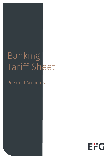## Banking Tariff Sheet

### Personal Accounts

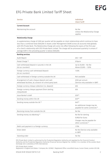| <b>Service</b>                                                                                                                                                                                                                                                                                                                                                                                                                                                                                                  | <b>Individual</b><br><b>Client Tariff</b>                                                               |
|-----------------------------------------------------------------------------------------------------------------------------------------------------------------------------------------------------------------------------------------------------------------------------------------------------------------------------------------------------------------------------------------------------------------------------------------------------------------------------------------------------------------|---------------------------------------------------------------------------------------------------------|
| <b>Current Account</b>                                                                                                                                                                                                                                                                                                                                                                                                                                                                                          |                                                                                                         |
| Maintaining the account                                                                                                                                                                                                                                                                                                                                                                                                                                                                                         | No fee<br>Unless the Relationship Charge<br>applies                                                     |
| <b>Relationship Charge</b>                                                                                                                                                                                                                                                                                                                                                                                                                                                                                      |                                                                                                         |
| A supplementary charge of £300 per quarter will be payable on client relationships which continue to have<br>less than a combined total £500,000 in Assets under Management (AUM) across all accounts held globally<br>with EFG Private Bank. The Relationship Charge will come into effect following the expiry of the first year<br>of a client's relationship with EFG Private Bank Limited. The charge will be processed quarterly in arrears if<br>average AUM in the preceding quarter is below £500,000. |                                                                                                         |
| <b>Banking services</b>                                                                                                                                                                                                                                                                                                                                                                                                                                                                                         |                                                                                                         |
| Audit Report                                                                                                                                                                                                                                                                                                                                                                                                                                                                                                    | $£50 + VAT$                                                                                             |
| Postal Charge <sup>(6)</sup>                                                                                                                                                                                                                                                                                                                                                                                                                                                                                    | £10pcm                                                                                                  |
| Cash withdrawal/deposit in pounds in the UK<br>(at our counters)                                                                                                                                                                                                                                                                                                                                                                                                                                                | Up to $£5,000 - No$ fee<br>Above £5,000 - 1.50%                                                         |
| Foreign currency cash withdrawal/deposit<br>(at our counters)                                                                                                                                                                                                                                                                                                                                                                                                                                                   | 1.50%                                                                                                   |
| Cash withdrawal in foreign currency outside the UK                                                                                                                                                                                                                                                                                                                                                                                                                                                              | Not available                                                                                           |
| Arrangement of cash, cheque deposit and cash<br>withdrawal facilities, at a branch of a third party bank                                                                                                                                                                                                                                                                                                                                                                                                        | £250 per annum<br>(Service only available in GBP)                                                       |
| Foreign currency cheque collection (i.e. deposit)                                                                                                                                                                                                                                                                                                                                                                                                                                                               | £50                                                                                                     |
| Foreign currency cheque payment (from sterling<br>chequebook)                                                                                                                                                                                                                                                                                                                                                                                                                                                   | £50                                                                                                     |
| Issue Banker's draft                                                                                                                                                                                                                                                                                                                                                                                                                                                                                            | £30**                                                                                                   |
| Sending money within the UK                                                                                                                                                                                                                                                                                                                                                                                                                                                                                     | $f40**$                                                                                                 |
| Sending money outside the UK $(1)$                                                                                                                                                                                                                                                                                                                                                                                                                                                                              | $£40**$                                                                                                 |
|                                                                                                                                                                                                                                                                                                                                                                                                                                                                                                                 | An additional charge may be<br>payable for some currencies <sup>(7)</sup>                               |
| Receiving money from outside the UK                                                                                                                                                                                                                                                                                                                                                                                                                                                                             | No fee                                                                                                  |
| Sending money via eBanking (1)                                                                                                                                                                                                                                                                                                                                                                                                                                                                                  | No fee for sterling<br>EUR20 for Euros<br>Charges may be payable for<br>other currencies <sup>(7)</sup> |
| Debit card payment in a foreign currency                                                                                                                                                                                                                                                                                                                                                                                                                                                                        | 1.75%                                                                                                   |
|                                                                                                                                                                                                                                                                                                                                                                                                                                                                                                                 |                                                                                                         |

Direct debit **No fee (Service only available** No fee (Service only available in GBP) Standing order No fee EFG Private Bank Limited is authorised by the Prudential Regulation Authority and regulated by the Financial Conduct

Authority and the Prudential Regulation Authority (Financial Services Register No: 144036). It is a member of the London Stock Exchange and a subsidiary of EFG International.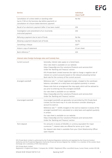| <b>Service</b>                                                                                                                                                | <b>Individual</b><br><b>Client Tariff</b> |
|---------------------------------------------------------------------------------------------------------------------------------------------------------------|-------------------------------------------|
| Cancellation of a direct debit or standing order<br>(up to 17.00 on the business day before payment); or<br>cancellation of a future dated electronic payment | No fee                                    |
| Recall of an electronic payment (after it has been made)                                                                                                      | £50                                       |
| Investigation and amendment of an incorrectly<br>instructed payment                                                                                           | £50                                       |
| Refusing a payment due to lack of funds                                                                                                                       | No fee                                    |
| Allowing a payment despite lack of funds                                                                                                                      | No fee                                    |
| Cancelling a cheque                                                                                                                                           | $f20**$                                   |
| Historic copy of statement                                                                                                                                    | £2 per sheet                              |
| Bank reference <sup>(2)</sup>                                                                                                                                 | f20                                       |

### Interest rates Foreign Exchange rates and Custody Fees

| Current account      | Generally, interest rates apply on a tiered basis.<br>OOur rate sheet is available on our website:<br>https://www.efgl.com/Our-solutions/Products-and-services.html<br>Under the 'Banking and Treasury' section<br>EFG Private Bank Limited reserves the right to charge a negative rate of<br>interest on current accounts based on the relevant prevailing Central<br>Bank rate for the currency of the current account                                                                                       |
|----------------------|-----------------------------------------------------------------------------------------------------------------------------------------------------------------------------------------------------------------------------------------------------------------------------------------------------------------------------------------------------------------------------------------------------------------------------------------------------------------------------------------------------------------|
| Arranged overdraft   | Reference rate $(3)$ + a fixed negotiated margin, charged to the overdrawn<br>balance, calculated on a daily basis and applied quarterly in arrears.<br>Please note that an arrangement fee may apply, which will be advised to<br>you prior to entering into the arranged overdraft.<br>Our rate sheet is available on our website:<br>https://www.efgl.com/Our-solutions/Products-and-services.html<br>Under the 'Banking and Treasury' section                                                               |
| Unarranged overdraft | Unarranged overdrafts are generally not permitted by EFG Private Bank<br>Limited, but the bank may in its sole discretion consider allowing an<br>account to overrun.<br>Reference rate $(3)$ + 8.00% charged on the overrun balance in excess of the<br>arranged overdraft limit, calculated on a daily basis and applied quarterly<br>in arrears.<br>Our rate sheet is available on our website:<br>https://www.efgl.com/Our-solutions/Products-and-services.html<br>Under the 'Banking and Treasury' section |
| Term deposit         | For amounts in excess of £50,000, or currency equivalent for major<br>currencies <sup>(4)</sup> , interest rates are offered for terms up to 1 year.<br>Our deposit rate sheet is available from your Client Relationship Officer<br>upon request                                                                                                                                                                                                                                                               |

EFG Private Bank Limited is authorised by the Prudential Regulation Authority and regulated by the Financial Conduct Authority and the Prudential Regulation Authority (Financial Services Register No: 144036). It is a member of the London Stock Exchange and a subsidiary of EFG International.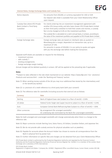### Interest Rates, Foreign Exchange Rates and Custody Fees

| Notice deposits                                                            | For amounts from £50,000, or currency equivalent for USD or EUR.                                                                                                                                                                                                                      |
|----------------------------------------------------------------------------|---------------------------------------------------------------------------------------------------------------------------------------------------------------------------------------------------------------------------------------------------------------------------------------|
|                                                                            | Our deposit rate sheet is available from your Client Relationship Officer<br>upon request.                                                                                                                                                                                            |
| Custody Fees where EFG Private<br>Bank Limited is Third Party<br>Custodian | For clients entering into an investment management agreement with<br>another EFG Group entity, and who have chosen EFG Private Bank Limited<br>as their third party custodian to hold their assets and monies, a custody<br>fee is to be charged at 0.2% on the investment portfolio. |
|                                                                            | The custody fee is calculated on a semi-annual basis, in arrears, according to<br>the value of the investment portfolio and payable to EFG Private Bank Limited.                                                                                                                      |
| Foreign Exchange rates                                                     | Foreign exchange rates are based on interbank rates as quoted on<br>Bloomberg plus a margin, dependent on transaction size, up to a<br>maximum of 1.6%.<br>For amounts in excess of £50,000, it is our policy to quote and agree                                                      |
|                                                                            | with you the exchange rate before making the transaction.                                                                                                                                                                                                                             |

Separate tariff sheets are available on request for the following:

- investment services
- $\cdot$  safe custody  $(5)$
- lending arrangements
- foreign exchange margin trading

Annual charges will be debited quarterly in arrears. VAT will be applied at the prevailing rate if applicable.

### Notes

\*\*Subject to rates reflected in the rate sheet maintained on our website: https://www.efgl.com/ Our- solutions/ Products-and-services.html – under the 'Banking and Treasury' section.

- Note (1): When sending money outside of the UK you may incur additional fees levied by the intermediary and/ or the beneficiary bank(s)
- Note (2): i.e. provision of a credit reference to a third party bank (with your consent)

Note (3): The reference rates for overdrafts (including accounts that overrun) are as follows:

| Currency         | Rate                                                                                                             |
|------------------|------------------------------------------------------------------------------------------------------------------|
| Sterling         | Bank of England base rate (subject to a floor of zero%) + 0.50%                                                  |
| US dollar        | Federal Funds Target rate (upper bound & subject to a floor of zero%) + 0.25%                                    |
| Furo             | European Central Bank Refinancing Rate (subject to a floor of zero%) + 1.00%                                     |
| Other currencies | By arrangement (for arranged overdrafts)<br>An underlying rate nominated by the Bank (for unarranged overdrafts) |

Rates for both arranged and unarranged overdrafts will change automatically when there is a change to the reference rate.

Note (4): Major currencies include Sterling, Euro, Swiss Francs, US Dollars, Canadian Dollars, and Japanese Yen.

Note (5): We do not provide safe custody services for physical valuables such as jewellery.

- Note (6): Payable for accounts where the Account Holder has chosen to receive all correspondence from the Bank in physical form by postal mail.
- Note (7): Further information on specific fees and charges can be obtained from your Client Relationship Officer.

EFG Private Bank Limited is authorised by the Prudential Regulation Authority and regulated by the Financial Conduct Authority and the Prudential Regulation Authority (Financial Services Register No: 144036). It is a member of the London Stock Exchange and a subsidiary of EFG International.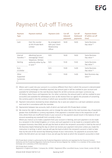## Payment Cut-off Times

| <b>Payment</b><br><b>Type</b>            | <b>Payment method</b>                                                    | <b>Payment Limit</b>                                          | Cut-off<br><b>Inbound</b><br>payments | Cut-off<br><b>Outbound</b><br>payments | <b>Payment Dated</b><br>(if within cut off<br>time) |
|------------------------------------------|--------------------------------------------------------------------------|---------------------------------------------------------------|---------------------------------------|----------------------------------------|-----------------------------------------------------|
| Cash                                     | Over the counter<br>at EFG Private Bank<br>Limited                       | By arrangement<br>with your Client<br>Relationship<br>Officer | 16:00                                 | 16:00                                  | Same Business<br>Day value (1)                      |
| Internal<br>Transfers <sup>(3)</sup><br> | eBanking (secure<br>messaging)/ Email/                                   | N/A                                                           | 16:00                                 | 16:00                                  | Same Business<br>Day value (4)                      |
| Sterling                                 | Telephone / Written<br>authority either by fax<br>or post <sup>(2)</sup> | N/A                                                           | 15:30                                 | 15:30                                  | Same Business<br>Day value (4)                      |
| Euro<br>U.S.Dollar                       |                                                                          | N/A                                                           | 15:00                                 | 14.00                                  | Same Business<br>Day value (4)                      |
| Other<br>Supported<br>Currencies<br>(5)  |                                                                          | N/A                                                           | 15:00                                 | 14:00                                  | Next Business day<br>value $(4)$                    |

- (1) Where cash is paid into your account in a currency different from that in which the account is denominated and a currency exchange is therefore required, the amount paid in will be credited to your account and available for withdrawal on the next Business Day(s) for all EEA currencies and major currencies e.g. US Dollars, Swiss Francs and Japanese Yen. For other currencies, the amount paid in will be credited to your account(s) and available for withdrawal as soon as We receive from our agents the proceeds of converting the currency paid in into the currency in which your account(s) is denominated.
- (2) Payment instructions received by email, telephone, fax or post are subject to a call back validation process and must be in accordance with the mandate.
- (3) Payments(s) between two accounts, both of which are held with EFG Private Bank Limited.
- (4) We reserve the right to delay execution, and or change the value date to the next business day, of payments greater than £5,000,000 or currency equivalent, if the payment is received close to the respective cut-off time, where there are insufficient funds in your account or the payment would result in the balance of your account exceeding any overdraft limit currently in force.

Where you instruct us to make a payment from your account in Sterling, and such payment is to be made to a recipient in the United Kingdom, or in Euro, and such payment is to be made to a recipient within the European Economic Area (EEA), we will pay the bank at which the recipient's account(s) is held by the end of the Business Day(s) following the day on which we receive your payment instruction unless you made the instruction in writing, in which case we will pay the bank at which the recipient's account is held no later than by the end of the second day following receipt of your instructions. For payments to accounts held within the EEA which are not made in Euro, we will pay the bank at which the recipient's account(s) is held

EFG Private Bank Limited is authorised by the Prudential Regulation Authority and regulated by the Financial Conduct Authority and the Prudential Regulation Authority (Financial Services Register No: 144036). It is a member of the London Stock Exchange and a subsidiary of EFG International.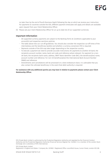no later than by the end of fourth Business Day(s) following the day on which we receive your instruction. For payments to countries outside the EEA, different payment timescales will apply and details are available upon request from your Client Relationship Officer.

(5) Please ask your Client Relationship Officer for an up to date list of our supported currencies.

### Important Information

- All supported currency payments are subject to the Banking Terms & Conditions applicable to your account(s) and respective sanctions policies.
- The table above lists our cut-off guidelines. You should also consider the respective cut-off times of the intermediary and the beneficiary bank(s) and whether a currency conversion (FX) is required.
- Payments outside of the EEA may take longer depending on the respective country.
- To execute a payment we need to provide accurate instructions; for payments to another UK bank, the recipients account number, name, bank sort code and reference where relevant. For payment to a non-UK bank, the recipients bank name, address, SWIFT Bank Identifier Code (BIC), the beneficiary(ies) name, account number and reference. For non-US beneficiary(ies) the International Bank Account Number (IBAN) and reference.
- Amendments and cancellations will be processed on a best endeavours basis. It is advisable that you also contact the ultimate beneficiary in the event that debit authority is required.

### For assistance with any additional queries you may have in relation to payments please contact your Client Relationship Officer.

EFG Private Bank Limited is authorised by the Prudential Regulation Authority and regulated by the Financial Conduct Authority and the Prudential Regulation Authority (Financial Services Register No: 144036). It is a member of the London Stock Exchange and a subsidiary of EFG International.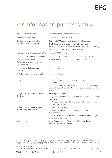## For information purposes only

| <b>Tariff Sheet Service Term</b>                                                                                                        | <b>Bank Statements / Advices Description</b>                                                                                                                                                                                           |
|-----------------------------------------------------------------------------------------------------------------------------------------|----------------------------------------------------------------------------------------------------------------------------------------------------------------------------------------------------------------------------------------|
| Maintaining the account.                                                                                                                | Current account service charge.                                                                                                                                                                                                        |
| Sending money within the UK,<br>Sending money outside the UK.                                                                           | Outgoing SWIFT transfer with "details of the beneficiary".<br>The Net amount is reflected in the Bank Statement.<br>The breakdown of the payment and the fee amount, including any<br>FX conversion details is included in the Advice. |
| Receiving money from outside the UK.                                                                                                    | Incoming SWIFT Transfer                                                                                                                                                                                                                |
| Cash Withdrawal / deposit in pounds<br>in the UK (at our counters).<br>Foreign currency cash withdrawal /<br>Deposit (at our counters). | Cash Withdrawal/ Deposit PLUS/ Less COMMISSION OF 1.5%.<br>The Net amount is reflected in the Bank Statement.                                                                                                                          |
| Arranged Overdraft, Unarranged<br>Overdraft.                                                                                            | Debit interest.                                                                                                                                                                                                                        |
| Refusing a payment due to lack of<br>funds.                                                                                             | Unpaid Item Charge.                                                                                                                                                                                                                    |
| Banker's draft.                                                                                                                         | Beneficiary name and Net amount is referenced in the Bank<br>Statement.<br>Beneficiary name with a breakdown to include: Transfer amount &<br>Cheque Issuance Charge & Total consideration, is reflected in the<br>Advice.             |
| Foreign currency cheque collection<br>(i.e. deposit).                                                                                   | Incoming SWIFT Transfer.<br>Charges are embedded and the net amount is reflected in the Bank<br>statement.<br>The Advice issued reflects the transfer amount, payment charge<br>and total consideration.                               |
| Foreign currency cheque payment<br>(from sterling chequebook).                                                                          | Outgoing SWIFT Transfer.<br>Charges are embedded and the net amount is reflected in the<br>Bank statement.<br>The Advice issued reflects the transfer amount, payment charge<br>and total consideration.                               |
| Bank reference.                                                                                                                         | Status Enquiry Issued - Charge (only reflected in the Bank<br>Statement, no Advice is issued).                                                                                                                                         |

EFG Private Bank Limited is authorised by the Prudential Regulation Authority and regulated by the Financial Conduct Authority and the Prudential Regulation Authority (Financial Services Register No: 144036). It is a member of the London Stock Exchange and a subsidiary of EFG International.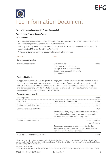# Fee Information Document

### Name of the account provider: EFG Private Bank Limited

### Account name: Personal Current Account

### Date: 31 January 2022

- This document informs you about the fees for using the main services linked to the payment account. It will help you to compare these fees with those of other accounts.
- Fees may also apply for using services linked to the account which are not listed here. Full information is available in the EFG Private Bank Limited Tariff Sheet.
- A glossary of the terms used in this document is available free of charge.

| <b>Service</b>                  | Fee                                                                                                                                                       |        |
|---------------------------------|-----------------------------------------------------------------------------------------------------------------------------------------------------------|--------|
| <b>General account services</b> |                                                                                                                                                           |        |
| Maintaining the account         | Total annual fee<br>EFG Private Bank Limited reserve<br>the right to pass on any associated<br>due diligence costs, with the client's<br>prior agreement. | No fee |

### Relationship Charge

A supplementary charge of £300 per quarter will be payable on client relationships which continue to have less than a combined total £500,000 in Assets under Management (AUM) across all accounts held globally with EFG Private Bank. The Relationship Charge will come into effect following the expiry of the first year of a client's relationship with EFG Private Bank Limited. The charge will be processed quarterly in arrears if average AUM in the preceding quarter is below £500,000.

### Payments (excluding cards)

| Standing Order                      |                                                                                                                                                                         | No fee                      |
|-------------------------------------|-------------------------------------------------------------------------------------------------------------------------------------------------------------------------|-----------------------------|
| Direct Debit                        | (Service only available in GBP)                                                                                                                                         | No fee                      |
| Sending money within the UK         |                                                                                                                                                                         | $f40*$                      |
| Sending money outside the UK        |                                                                                                                                                                         | $f40*$                      |
|                                     | An additional charge may be payable for some currencies.<br>Further information on specific fees and charges can be.<br>obtained from your Client Relationship Officer. |                             |
| Sending money via eBanking          |                                                                                                                                                                         | No fee for sterling         |
|                                     |                                                                                                                                                                         | EUR <sub>20</sub> for Euros |
|                                     | Charges may be payable for other currencies. Further<br>information on specific fees and charges can be obtained<br>from your Client Relationship Officer.              |                             |
| Receiving money from outside the UK |                                                                                                                                                                         | No tee                      |

Private Bank Limited is authorised by the Prudential Regulation Authority and regulated by the Financial Conduct Authority and the Prudential Regulation Authority (Financial Services Register No: 144036). It is a member of the London Stock Exchange and a subsidiary of EFG International.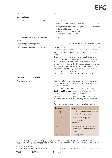EFG

Service Fee

| Cards and cash                                                                     |                                                                                                                                                                                                                                                                                                                                                                                                                                                                                                                                                                                                                                                 |                                                                                      |                                   |
|------------------------------------------------------------------------------------|-------------------------------------------------------------------------------------------------------------------------------------------------------------------------------------------------------------------------------------------------------------------------------------------------------------------------------------------------------------------------------------------------------------------------------------------------------------------------------------------------------------------------------------------------------------------------------------------------------------------------------------------------|--------------------------------------------------------------------------------------|-----------------------------------|
| Cash withdrawal in pounds in the UK                                                | Up to £5,000<br>$\bullet$<br>Above £5,000 (of transaction amount)<br>Arrangement of cash, cheque deposit<br>and cash withdrawal facilities,<br>at a branch of a third-party bank<br>(service only available in GBP)                                                                                                                                                                                                                                                                                                                                                                                                                             |                                                                                      | No fee<br>1.50%<br>£250 per annum |
| Cash withdrawal in foreign currency outside<br>the UK                              | Not Available                                                                                                                                                                                                                                                                                                                                                                                                                                                                                                                                                                                                                                   |                                                                                      |                                   |
| Debit card payment in pounds                                                       |                                                                                                                                                                                                                                                                                                                                                                                                                                                                                                                                                                                                                                                 | No fee for GBP denominated debit cards                                               |                                   |
| Debit card payment in a foreign currency<br><b>Overdrafts and related services</b> | Transaction fee<br>There is no fee if you use a non GBP debit card to make a<br>payment in the same foreign currency as the debit card is<br>denominated.<br>If you use your debit card to purchase goods or services<br>or withdraw cash in a currency other than the currency of<br>your card, then such transaction will be converted to the<br>currency of your card on the day we receive details of it. We<br>will use Mastercard® authorised rates applicable for such<br>a transaction see https://www.mastercard.co.uk/en-gb/<br>personal/get-support/convert-currency.html.<br>The transaction fee referred to above will also apply. |                                                                                      | 1.75%                             |
| Arranged overdraft                                                                 | Reference rate + a fixed negotiated margin, charged to the<br>overdrawn balance, calculated on a daily basis and applied<br>quarterly in arrears.<br>Our rate sheet is available on our website, under the<br>'Banking and Treasury' section: https://www.efgl.com/<br>Our-solutions/Products-and-services.html<br>Please note that an arrangement fee may apply, which<br>will be advised to you prior to entering into the arranged<br>overdraft.<br>The reference rates for <b>arranged overdrafts</b> are as follows:                                                                                                                       |                                                                                      |                                   |
|                                                                                    |                                                                                                                                                                                                                                                                                                                                                                                                                                                                                                                                                                                                                                                 |                                                                                      |                                   |
|                                                                                    |                                                                                                                                                                                                                                                                                                                                                                                                                                                                                                                                                                                                                                                 |                                                                                      |                                   |
|                                                                                    |                                                                                                                                                                                                                                                                                                                                                                                                                                                                                                                                                                                                                                                 |                                                                                      |                                   |
|                                                                                    | Currency                                                                                                                                                                                                                                                                                                                                                                                                                                                                                                                                                                                                                                        | Rate                                                                                 |                                   |
|                                                                                    | Sterling                                                                                                                                                                                                                                                                                                                                                                                                                                                                                                                                                                                                                                        | Bank of England base rate (subject<br>to a floor of zero%) + $0.50\%$                |                                   |
|                                                                                    | US dollar                                                                                                                                                                                                                                                                                                                                                                                                                                                                                                                                                                                                                                       | Federal Funds Target rate (upper<br>bound & subject to a floor of<br>zero%) + 0.25%  |                                   |
|                                                                                    | Euro                                                                                                                                                                                                                                                                                                                                                                                                                                                                                                                                                                                                                                            | European Central Bank Refinancing<br>Rate (subject to a floor of zero%)<br>$+1.00\%$ |                                   |
|                                                                                    | Other currencies                                                                                                                                                                                                                                                                                                                                                                                                                                                                                                                                                                                                                                | By arrangement                                                                       |                                   |

EFG Private Bank Limited is authorised by the Prudential Regulation Authority and regulated by the Financial Conduct Authority and the Prudential Regulation Authority (Financial Services Register No: 144036). It is a member of the London Stock Exchange and a subsidiary of EFG International.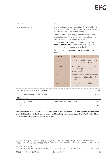Service **Feedback** 

Unarranged overdraft Unarranged overdrafts are generally not permitted by EFG Private Bank Limited, but the bank may in its sole discretion consider allowing an account to overrun.

> Reference rate + 8.00% charged on the overrun balance in excess of the authorised overdraft limit, calculated on a daily basis and applied quarterly in arrears.

Our rate sheet is available on our website, under the 'Banking and Treasury' section: https://www.efgl.com/ Our-solutions/Products-and-services.html

|          | The reference rates for <b>unarranged overdrafts</b> are as |
|----------|-------------------------------------------------------------|
| follows: |                                                             |

| <b>Currency</b>  | Rate                                                                                 |
|------------------|--------------------------------------------------------------------------------------|
| <b>Sterling</b>  | Bank of England base rate (subject<br>to a floor of zero%) + $0.50%$                 |
| US dollar        | Federal Funds Target rate (upper<br>bound & subject to a floor of<br>zero%) + 0.25%  |
| Euro             | European Central Bank Refinancing<br>Rate (subject to a floor of zero%)<br>$+1.00\%$ |
| Other currencies | An underlying rate nominated by<br>the Bank                                          |
|                  | ممf م                                                                                |

| Refusing a payment due to lack of funds  |                                 |  |
|------------------------------------------|---------------------------------|--|
| Allowing a payment despite lack of funds |                                 |  |
| <b>Other services</b>                    |                                 |  |
| Cancelling a cheque                      | (Service only available in GBP) |  |
| Banker's draft                           |                                 |  |

\*Please note that where the payment or transaction is in a currency other than Sterling (GBP), the fee will be converted based on interbank rates as quoted on Bloomberg. Please contact your Client Relationship Officer for details of the fee at the current exchange rate.

EFG Private Bank Limited is authorised by the Prudential Regulation Authority and regulated by the Financial Conduct Authority and the Prudential Regulation Authority (Financial Services Register No: 144036). It is a member of the London Stock Exchange and a subsidiary of EFG International.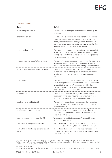### Glossary of terms

| Term                                                  | <b>Definition</b>                                                                                                                                                                                                                                                                   |
|-------------------------------------------------------|-------------------------------------------------------------------------------------------------------------------------------------------------------------------------------------------------------------------------------------------------------------------------------------|
| maintaining the account                               | The account provider operates the account for use by the<br>customer.                                                                                                                                                                                                               |
| arranged overdraft                                    | The account provider and the customer agree in advance<br>that the customer may borrow money when there is no<br>money left in the account. The agreement determines a<br>maximum amount that can be borrowed, and whether fees<br>and interest will be charged to the customer.    |
| unarranged overdraft                                  | The customer borrows money when there is no money left<br>in the account (or when the customer has gone past their<br>arranged overdraft limit) and this has not been agreed with<br>the account provider in advance.                                                               |
| refusing a payment due to lack of funds               | The account provider refuses a payment from the customer's<br>account because there is not enough money in it (or it<br>would take the customer past their arranged overdraft limit).                                                                                               |
| allowing a payment despite lack of funds              | The account provider allows a payment to be made from the<br>customer's account although there is not enough money<br>in it (or it would take the customer past their arranged<br>overdraft limit).                                                                                 |
| direct debit                                          | The customer permits someone else (recipient) to instruct<br>the account provider to transfer money from the customer's<br>account to that recipient. The account provider then<br>transfers money to the recipient on a date or dates agreed<br>by the customer and the recipient. |
| standing order                                        | The account provider makes regular transfers, on the<br>instruction of the customer, of a fixed amount of money<br>from the customer's account to another account.                                                                                                                  |
| sending money within the UK                           | The account provider transfers money, on the instruction<br>of the customer, from the customer's account to another<br>account in the UK.                                                                                                                                           |
| sending money outside the UK                          | The account provider transfers money, on the instruction<br>of the customer, from the customer's account to another<br>account outside the UK.                                                                                                                                      |
| receiving money from outside the UK                   | When money is sent to the customer's account from an<br>account outside the UK.                                                                                                                                                                                                     |
| cash withdrawal in pounds in the UK                   | The customer takes cash out of the customer's account in<br>pounds at a cash machine, bank or Post Office in the UK.                                                                                                                                                                |
| cash withdrawal in foreign currency outside<br>the UK | The customer takes cash out of the customer's account in<br>foreign currency at a cash machine or, where available, at a<br>bank outside the UK.                                                                                                                                    |

EFG Private Bank Limited is authorised by the Prudential Regulation Authority and regulated by the Financial Conduct Authority and the Prudential Regulation Authority (Financial Services Register No: 144036). It is a member of the London Stock Exchange and a subsidiary of EFG International.